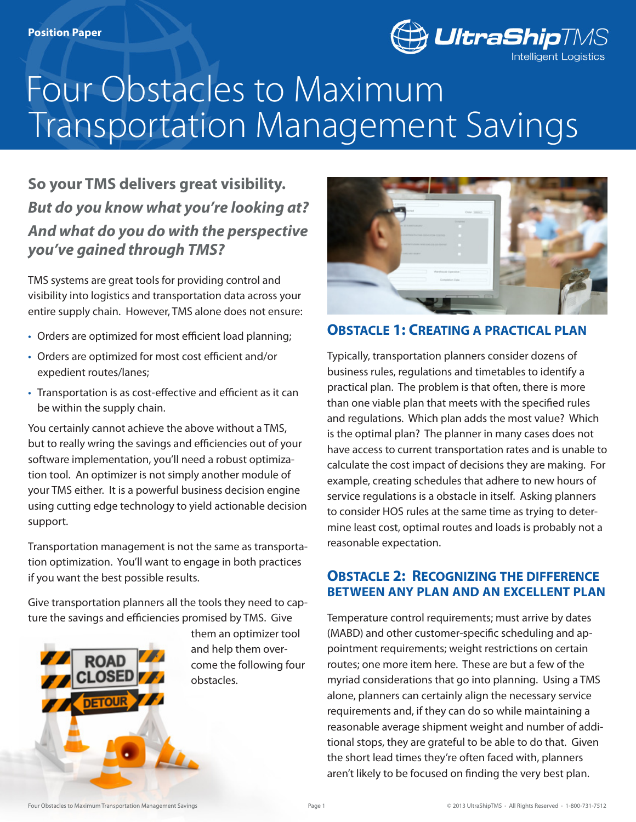

# Transportation Management Savings Four Obstacles to Maximum

# **So your TMS delivers great visibility.** *But do you know what you're looking at? And what do you do with the perspective you've gained through TMS?*

TMS systems are great tools for providing control and visibility into logistics and transportation data across your entire supply chain. However, TMS alone does not ensure:

- Orders are optimized for most efficient load planning;
- • Orders are optimized for most cost efficient and/or expedient routes/lanes;
- Transportation is as cost-effective and efficient as it can be within the supply chain.

You certainly cannot achieve the above without a TMS, but to really wring the savings and efficiencies out of your software implementation, you'll need a robust optimization tool. An optimizer is not simply another module of your TMS either. It is a powerful business decision engine using cutting edge technology to yield actionable decision support.

Transportation management is not the same as transportation optimization. You'll want to engage in both practices if you want the best possible results.

Give transportation planners all the tools they need to capture the savings and efficiencies promised by TMS. Give



them an optimizer tool and help them overcome the following four obstacles.



# **Obstacle 1: Creating a practical plan**

Typically, transportation planners consider dozens of business rules, regulations and timetables to identify a practical plan. The problem is that often, there is more than one viable plan that meets with the specified rules and regulations. Which plan adds the most value? Which is the optimal plan? The planner in many cases does not have access to current transportation rates and is unable to calculate the cost impact of decisions they are making. For example, creating schedules that adhere to new hours of service regulations is a obstacle in itself. Asking planners to consider HOS rules at the same time as trying to determine least cost, optimal routes and loads is probably not a reasonable expectation.

## **Obstacle 2: Recognizing the difference between any plan and an excellent plan**

Temperature control requirements; must arrive by dates (MABD) and other customer-specific scheduling and appointment requirements; weight restrictions on certain routes; one more item here. These are but a few of the myriad considerations that go into planning. Using a TMS alone, planners can certainly align the necessary service requirements and, if they can do so while maintaining a reasonable average shipment weight and number of additional stops, they are grateful to be able to do that. Given the short lead times they're often faced with, planners aren't likely to be focused on finding the very best plan.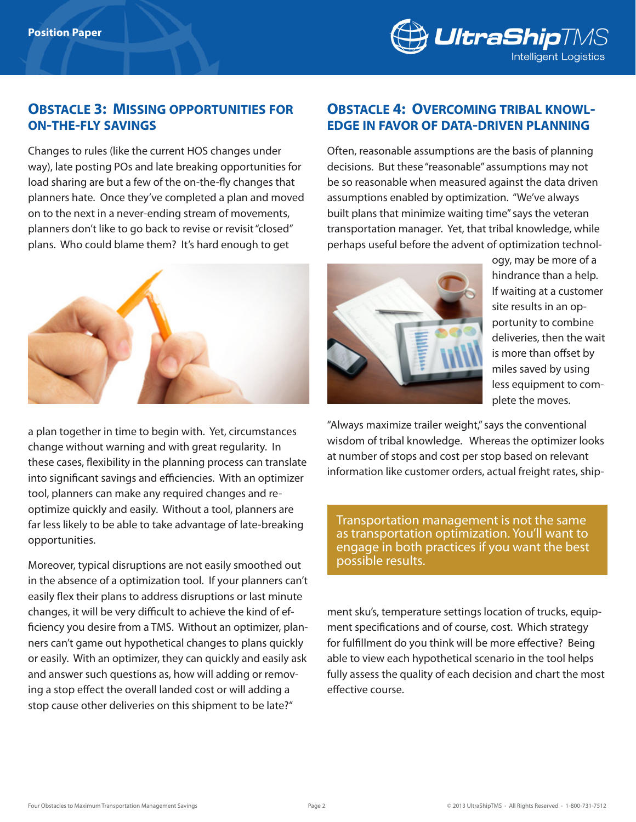

## **Obstacle 3: Missing opportunities for on-the-fly savings**

Changes to rules (like the current HOS changes under way), late posting POs and late breaking opportunities for load sharing are but a few of the on-the-fly changes that planners hate. Once they've completed a plan and moved on to the next in a never-ending stream of movements, planners don't like to go back to revise or revisit "closed" plans. Who could blame them? It's hard enough to get



a plan together in time to begin with. Yet, circumstances change without warning and with great regularity. In these cases, flexibility in the planning process can translate into significant savings and efficiencies. With an optimizer tool, planners can make any required changes and reoptimize quickly and easily. Without a tool, planners are far less likely to be able to take advantage of late-breaking opportunities.

Moreover, typical disruptions are not easily smoothed out in the absence of a optimization tool. If your planners can't easily flex their plans to address disruptions or last minute changes, it will be very difficult to achieve the kind of efficiency you desire from a TMS. Without an optimizer, planners can't game out hypothetical changes to plans quickly or easily. With an optimizer, they can quickly and easily ask and answer such questions as, how will adding or removing a stop effect the overall landed cost or will adding a stop cause other deliveries on this shipment to be late?"

#### **Obstacle 4: Overcoming tribal knowledge in favor of data-driven planning**

Often, reasonable assumptions are the basis of planning decisions. But these "reasonable" assumptions may not be so reasonable when measured against the data driven assumptions enabled by optimization. "We've always built plans that minimize waiting time" says the veteran transportation manager. Yet, that tribal knowledge, while perhaps useful before the advent of optimization technol-



ogy, may be more of a hindrance than a help. If waiting at a customer site results in an opportunity to combine deliveries, then the wait is more than offset by miles saved by using less equipment to complete the moves.

"Always maximize trailer weight," says the conventional wisdom of tribal knowledge. Whereas the optimizer looks at number of stops and cost per stop based on relevant information like customer orders, actual freight rates, ship-

Transportation management is not the same as transportation optimization. You'll want to engage in both practices if you want the best possible results.

ment sku's, temperature settings location of trucks, equipment specifications and of course, cost. Which strategy for fulfillment do you think will be more effective? Being able to view each hypothetical scenario in the tool helps fully assess the quality of each decision and chart the most effective course.